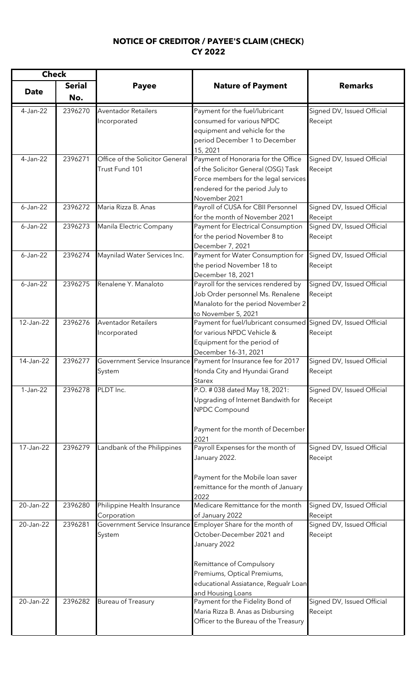## **NOTICE OF CREDITOR / PAYEE'S CLAIM (CHECK) CY 2022**

| <b>Check</b> |                      |                                                   |                                                                                                                                                                                                                                   |                                       |
|--------------|----------------------|---------------------------------------------------|-----------------------------------------------------------------------------------------------------------------------------------------------------------------------------------------------------------------------------------|---------------------------------------|
| <b>Date</b>  | <b>Serial</b><br>No. | <b>Payee</b>                                      | <b>Nature of Payment</b>                                                                                                                                                                                                          | <b>Remarks</b>                        |
| 4-Jan-22     | 2396270              | <b>Aventador Retailers</b><br>Incorporated        | Payment for the fuel/lubricant<br>consumed for various NPDC<br>equipment and vehicle for the<br>period December 1 to December                                                                                                     | Signed DV, Issued Official<br>Receipt |
| 4-Jan-22     | 2396271              | Office of the Solicitor General<br>Trust Fund 101 | 15, 2021<br>Payment of Honoraria for the Office<br>of the Solicitor General (OSG) Task<br>Force members for the legal services<br>rendered for the period July to<br>November 2021                                                | Signed DV, Issued Official<br>Receipt |
| $6$ -Jan-22  | 2396272              | Maria Rizza B. Anas                               | Payroll of CUSA for CBII Personnel<br>for the month of November 2021                                                                                                                                                              | Signed DV, Issued Official<br>Receipt |
| $6$ -Jan-22  | 2396273              | Manila Electric Company                           | Payment for Electrical Consumption<br>for the period November 8 to<br>December 7, 2021                                                                                                                                            | Signed DV, Issued Official<br>Receipt |
| $6 - Jan-22$ | 2396274              | Maynilad Water Services Inc.                      | Payment for Water Consumption for<br>the period November 18 to<br>December 18, 2021                                                                                                                                               | Signed DV, Issued Official<br>Receipt |
| $6 - Jan-22$ | 2396275              | Renalene Y. Manaloto                              | Payroll for the services rendered by<br>Job Order personnel Ms. Renalene<br>Manaloto for the period November 2<br>to November 5, 2021                                                                                             | Signed DV, Issued Official<br>Receipt |
| 12-Jan-22    | 2396276              | <b>Aventador Retailers</b><br>Incorporated        | Payment for fuel/lubricant consumed Signed DV, Issued Official<br>for various NPDC Vehicle &<br>Equipment for the period of<br>December 16-31, 2021                                                                               | Receipt                               |
| 14-Jan-22    | 2396277              | Government Service Insurance<br>System            | Payment for Insurance fee for 2017<br>Honda City and Hyundai Grand<br>Starex                                                                                                                                                      | Signed DV, Issued Official<br>Receipt |
| $1-Jan-22$   | 2396278              | PLDT Inc.                                         | P.O. # 038 dated May 18, 2021:<br>Upgrading of Internet Bandwith for<br>NPDC Compound<br>Payment for the month of December<br>2021                                                                                                | Signed DV, Issued Official<br>Receipt |
| 17-Jan-22    | 2396279              | Landbank of the Philippines                       | Payroll Expenses for the month of<br>January 2022.<br>Payment for the Mobile loan saver<br>remittance for the month of January<br>2022                                                                                            | Signed DV, Issued Official<br>Receipt |
| 20-Jan-22    | 2396280              | Philippine Health Insurance<br>Corporation        | Medicare Remittance for the month<br>of January 2022                                                                                                                                                                              | Signed DV, Issued Official<br>Receipt |
| 20-Jan-22    | 2396281              | System                                            | Government Service Insurance Employer Share for the month of<br>October-December 2021 and<br>January 2022<br>Remittance of Compulsory<br>Premiums, Optical Premiums,<br>educational Assiatance, Regualr Loan<br>and Housing Loans | Signed DV, Issued Official<br>Receipt |
| 20-Jan-22    | 2396282              | <b>Bureau of Treasury</b>                         | Payment for the Fidelity Bond of<br>Maria Rizza B. Anas as Disbursing<br>Officer to the Bureau of the Treasury                                                                                                                    | Signed DV, Issued Official<br>Receipt |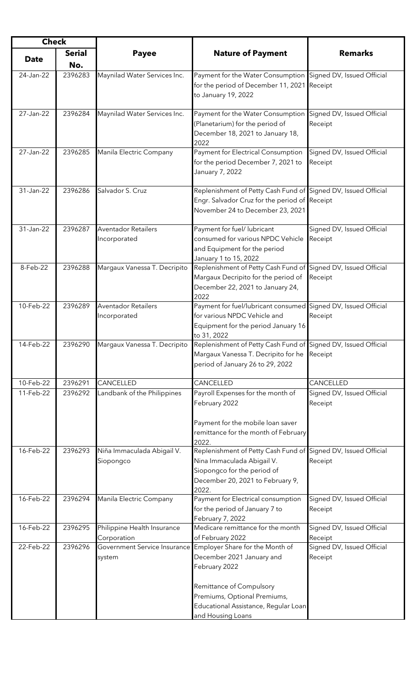| <b>Check</b> |               |                                            |                                                                                                                                                                          |                                       |
|--------------|---------------|--------------------------------------------|--------------------------------------------------------------------------------------------------------------------------------------------------------------------------|---------------------------------------|
|              | <b>Serial</b> | <b>Payee</b>                               | <b>Nature of Payment</b>                                                                                                                                                 | <b>Remarks</b>                        |
| <b>Date</b>  | No.           |                                            |                                                                                                                                                                          |                                       |
| 24-Jan-22    | 2396283       | Maynilad Water Services Inc.               | Payment for the Water Consumption Signed DV, Issued Official<br>for the period of December 11, 2021 Receipt<br>to January 19, 2022                                       |                                       |
| 27-Jan-22    | 2396284       | Maynilad Water Services Inc.               | Payment for the Water Consumption<br>(Planetarium) for the period of<br>December 18, 2021 to January 18,<br>2022                                                         | Signed DV, Issued Official<br>Receipt |
| 27-Jan-22    | 2396285       | Manila Electric Company                    | Payment for Electrical Consumption<br>for the period December 7, 2021 to<br>January 7, 2022                                                                              | Signed DV, Issued Official<br>Receipt |
| 31-Jan-22    | 2396286       | Salvador S. Cruz                           | Replenishment of Petty Cash Fund of Signed DV, Issued Official<br>Engr. Salvador Cruz for the period of Receipt<br>November 24 to December 23, 2021                      |                                       |
| 31-Jan-22    | 2396287       | <b>Aventador Retailers</b><br>Incorporated | Payment for fuel/ lubricant<br>consumed for various NPDC Vehicle<br>and Equipment for the period<br>January 1 to 15, 2022                                                | Signed DV, Issued Official<br>Receipt |
| 8-Feb-22     | 2396288       | Margaux Vanessa T. Decripito               | Replenishment of Petty Cash Fund of Signed DV, Issued Official<br>Margaux Decripito for the period of<br>December 22, 2021 to January 24,<br>2022                        | Receipt                               |
| 10-Feb-22    | 2396289       | <b>Aventador Retailers</b><br>Incorporated | Payment for fuel/lubricant consumed Signed DV, Issued Official<br>for various NPDC Vehicle and<br>Equipment for the period January 16<br>to 31, 2022                     | Receipt                               |
| 14-Feb-22    | 2396290       | Margaux Vanessa T. Decripito               | Replenishment of Petty Cash Fund of Signed DV, Issued Official<br>Margaux Vanessa T. Decripito for he<br>period of January 26 to 29, 2022                                | Receipt                               |
| 10-Feb-22    | 2396291       | CANCELLED                                  | CANCELLED                                                                                                                                                                | CANCELLED                             |
| 11-Feb-22    | 2396292       | Landbank of the Philippines                | Payroll Expenses for the month of<br>February 2022<br>Payment for the mobile loan saver<br>remittance for the month of February<br>2022.                                 | Signed DV, Issued Official<br>Receipt |
| 16-Feb-22    | 2396293       | Niña Immaculada Abigail V.<br>Siopongco    | Replenishment of Petty Cash Fund of Signed DV, Issued Official<br>Nina Immaculada Abigail V.<br>Siopongco for the period of<br>December 20, 2021 to February 9,<br>2022. | Receipt                               |
| 16-Feb-22    | 2396294       | Manila Electric Company                    | Payment for Electrical consumption<br>for the period of January 7 to<br>February 7, 2022                                                                                 | Signed DV, Issued Official<br>Receipt |
| 16-Feb-22    | 2396295       | Philippine Health Insurance<br>Corporation | Medicare remittance for the month<br>of February 2022                                                                                                                    | Signed DV, Issued Official<br>Receipt |
| 22-Feb-22    | 2396296       | Government Service Insurance<br>system     | Employer Share for the Month of<br>December 2021 January and<br>February 2022                                                                                            | Signed DV, Issued Official<br>Receipt |
|              |               |                                            | Remittance of Compulsory<br>Premiums, Optional Premiums,<br>Educational Assistance, Regular Loan<br>and Housing Loans                                                    |                                       |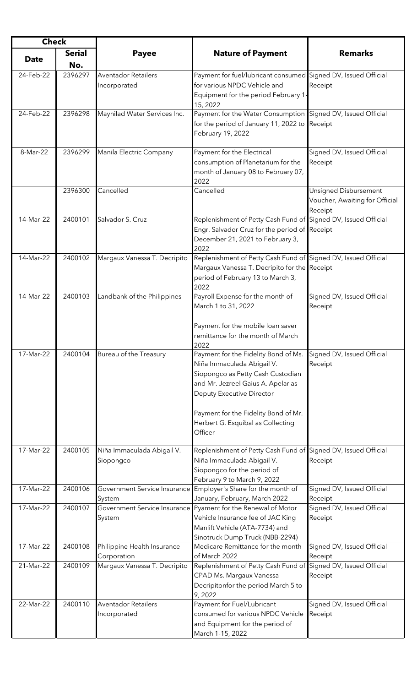| <b>Check</b> |                      |                                            |                                                                                                                                                                                                                                                                            |                                                                    |
|--------------|----------------------|--------------------------------------------|----------------------------------------------------------------------------------------------------------------------------------------------------------------------------------------------------------------------------------------------------------------------------|--------------------------------------------------------------------|
| <b>Date</b>  | <b>Serial</b><br>No. | <b>Payee</b>                               | <b>Nature of Payment</b>                                                                                                                                                                                                                                                   | <b>Remarks</b>                                                     |
| 24-Feb-22    | 2396297              | <b>Aventador Retailers</b><br>Incorporated | Payment for fuel/lubricant consumed Signed DV, Issued Official<br>for various NPDC Vehicle and<br>Equipment for the period February 1<br>15, 2022                                                                                                                          | Receipt                                                            |
| 24-Feb-22    | 2396298              | Maynilad Water Services Inc.               | Payment for the Water Consumption Signed DV, Issued Official<br>for the period of January 11, 2022 to Receipt<br>February 19, 2022                                                                                                                                         |                                                                    |
| 8-Mar-22     | 2396299              | Manila Electric Company                    | Payment for the Electrical<br>consumption of Planetarium for the<br>month of January 08 to February 07,<br>2022                                                                                                                                                            | Signed DV, Issued Official<br>Receipt                              |
|              | 2396300              | Cancelled                                  | Cancelled                                                                                                                                                                                                                                                                  | Unsigned Disbursement<br>Voucher, Awaiting for Official<br>Receipt |
| 14-Mar-22    | 2400101              | Salvador S. Cruz                           | Replenishment of Petty Cash Fund of Signed DV, Issued Official<br>Engr. Salvador Cruz for the period of Receipt<br>December 21, 2021 to February 3,<br>2022                                                                                                                |                                                                    |
| 14-Mar-22    | 2400102              | Margaux Vanessa T. Decripito               | Replenishment of Petty Cash Fund of Signed DV, Issued Official<br>Margaux Vanessa T. Decripito for the Receipt<br>period of February 13 to March 3,<br>2022                                                                                                                |                                                                    |
| 14-Mar-22    | 2400103              | Landbank of the Philippines                | Payroll Expense for the month of<br>March 1 to 31, 2022<br>Payment for the mobile loan saver<br>remittance for the month of March                                                                                                                                          | Signed DV, Issued Official<br>Receipt                              |
| 17-Mar-22    | 2400104              | Bureau of the Treasury                     | 2022<br>Payment for the Fidelity Bond of Ms.<br>Niña Immaculada Abigail V.<br>Siopongco as Petty Cash Custodian<br>and Mr. Jezreel Gaius A. Apelar as<br>Deputy Executive Director<br>Payment for the Fidelity Bond of Mr.<br>Herbert G. Esquibal as Collecting<br>Officer | Signed DV, Issued Official<br>Receipt                              |
| 17-Mar-22    | 2400105              | Niña Immaculada Abigail V.<br>Siopongco    | Replenishment of Petty Cash Fund of Signed DV, Issued Official<br>Niña Immaculada Abigail V.<br>Siopongco for the period of<br>February 9 to March 9, 2022                                                                                                                 | Receipt                                                            |
| 17-Mar-22    | 2400106              | System                                     | Government Service Insurance Employer's Share for the month of<br>January, February, March 2022                                                                                                                                                                            | Signed DV, Issued Official<br>Receipt                              |
| 17-Mar-22    | 2400107              | System                                     | Government Service Insurance Pyament for the Renewal of Motor<br>Vehicle Insurance fee of JAC King<br>Manlift Vehicle (ATA-7734) and<br>Sinotruck Dump Truck (NBB-2294)                                                                                                    | Signed DV, Issued Official<br>Receipt                              |
| 17-Mar-22    | 2400108              | Philippine Health Insurance<br>Corporation | Medicare Remittance for the month<br>of March 2022                                                                                                                                                                                                                         | Signed DV, Issued Official<br>Receipt                              |
| 21-Mar-22    | 2400109              | Margaux Vanessa T. Decripito               | Replenishment of Petty Cash Fund of Signed DV, Issued Official<br>CPAD Ms. Margaux Vanessa<br>Decripitonfor the period March 5 to<br>9,2022                                                                                                                                | Receipt                                                            |
| 22-Mar-22    | 2400110              | <b>Aventador Retailers</b><br>Incorporated | Payment for Fuel/Lubricant<br>consumed for various NPDC Vehicle<br>and Equipment for the period of<br>March 1-15, 2022                                                                                                                                                     | Signed DV, Issued Official<br>Receipt                              |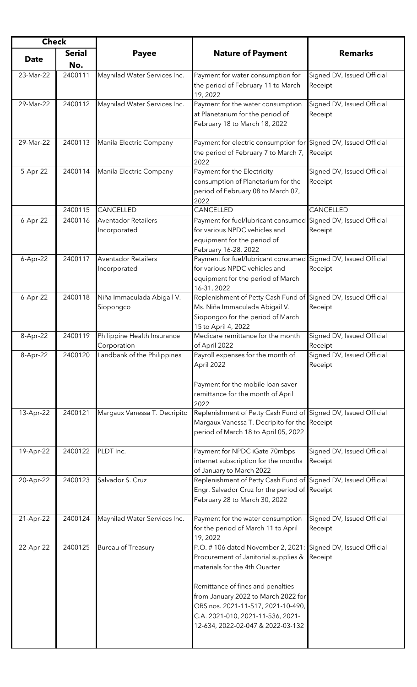| <b>Check</b> |               |                                            |                                                                                                                                                                                                                           |                                       |
|--------------|---------------|--------------------------------------------|---------------------------------------------------------------------------------------------------------------------------------------------------------------------------------------------------------------------------|---------------------------------------|
|              | <b>Serial</b> | <b>Payee</b>                               | <b>Nature of Payment</b>                                                                                                                                                                                                  | <b>Remarks</b>                        |
| <b>Date</b>  | No.           |                                            |                                                                                                                                                                                                                           |                                       |
| 23-Mar-22    | 2400111       | Maynilad Water Services Inc.               | Payment for water consumption for<br>the period of February 11 to March<br>19, 2022                                                                                                                                       | Signed DV, Issued Official<br>Receipt |
| 29-Mar-22    | 2400112       | Maynilad Water Services Inc.               | Payment for the water consumption<br>at Planetarium for the period of<br>February 18 to March 18, 2022                                                                                                                    | Signed DV, Issued Official<br>Receipt |
| 29-Mar-22    | 2400113       | Manila Electric Company                    | Payment for electric consumption for Signed DV, Issued Official<br>the period of February 7 to March 7, Receipt<br>2022                                                                                                   |                                       |
| 5-Apr-22     | 2400114       | Manila Electric Company                    | Payment for the Electricity<br>consumption of Planetarium for the<br>period of February 08 to March 07,<br>2022                                                                                                           | Signed DV, Issued Official<br>Receipt |
|              | 2400115       | CANCELLED                                  | CANCELLED                                                                                                                                                                                                                 | CANCELLED                             |
| $6-Apr-22$   | 2400116       | <b>Aventador Retailers</b><br>Incorporated | Payment for fuel/lubricant consumed Signed DV, Issued Official<br>for various NPDC vehicles and<br>equipment for the period of<br>February 16-28, 2022                                                                    | Receipt                               |
| $6-Apr-22$   | 2400117       | <b>Aventador Retailers</b><br>Incorporated | Payment for fuel/lubricant consumed Signed DV, Issued Official<br>for various NPDC vehicles and<br>equipment for the period of March<br>16-31, 2022                                                                       | Receipt                               |
| $6-Apr-22$   | 2400118       | Niña Immaculada Abigail V.<br>Siopongco    | Replenishment of Petty Cash Fund of Signed DV, Issued Official<br>Ms. Niña Immaculada Abigail V.<br>Siopongco for the period of March<br>15 to April 4, 2022                                                              | Receipt                               |
| 8-Apr-22     | 2400119       | Philippine Health Insurance<br>Corporation | Medicare remittance for the month<br>of April 2022                                                                                                                                                                        | Signed DV, Issued Official<br>Receipt |
| 8-Apr-22     | 2400120       | Landbank of the Philippines                | Payroll expenses for the month of<br>April 2022<br>Payment for the mobile loan saver<br>remittance for the month of April<br>2022                                                                                         | Signed DV, Issued Official<br>Receipt |
| 13-Apr-22    | 2400121       | Margaux Vanessa T. Decripito               | Replenishment of Petty Cash Fund of Signed DV, Issued Official<br>Margaux Vanessa T. Decripito for the Receipt<br>period of March 18 to April 05, 2022                                                                    |                                       |
| 19-Apr-22    | 2400122       | PLDT Inc.                                  | Payment for NPDC iGate 70mbps<br>internet subscription for the months<br>of January to March 2022                                                                                                                         | Signed DV, Issued Official<br>Receipt |
| 20-Apr-22    | 2400123       | Salvador S. Cruz                           | Replenishment of Petty Cash Fund of Signed DV, Issued Official<br>Engr. Salvador Cruz for the period of Receipt<br>February 28 to March 30, 2022                                                                          |                                       |
| 21-Apr-22    | 2400124       | Maynilad Water Services Inc.               | Payment for the water consumption<br>for the period of March 11 to April<br>19, 2022                                                                                                                                      | Signed DV, Issued Official<br>Receipt |
| 22-Apr-22    | 2400125       | <b>Bureau of Treasury</b>                  | P.O. #106 dated November 2, 2021: Signed DV, Issued Official<br>Procurement of Janitorial supplies & Receipt<br>materials for the 4th Quarter<br>Remittance of fines and penalties<br>from January 2022 to March 2022 for |                                       |
|              |               |                                            | ORS nos. 2021-11-517, 2021-10-490,<br>C.A. 2021-010, 2021-11-536, 2021-<br>12-634, 2022-02-047 & 2022-03-132                                                                                                              |                                       |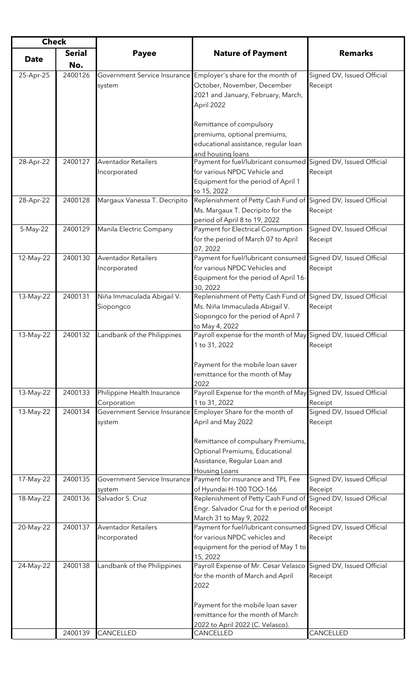| <b>Check</b> |               |                              |                                                                                   |                            |
|--------------|---------------|------------------------------|-----------------------------------------------------------------------------------|----------------------------|
|              | <b>Serial</b> | <b>Payee</b>                 | <b>Nature of Payment</b>                                                          | <b>Remarks</b>             |
| <b>Date</b>  | No.           |                              |                                                                                   |                            |
|              | 2400126       |                              |                                                                                   |                            |
| 25-Apr-25    |               |                              | Government Service Insurance Employer's share for the month of                    | Signed DV, Issued Official |
|              |               | system                       | October, November, December                                                       | Receipt                    |
|              |               |                              | 2021 and January, February, March,                                                |                            |
|              |               |                              | April 2022                                                                        |                            |
|              |               |                              |                                                                                   |                            |
|              |               |                              | Remittance of compulsory                                                          |                            |
|              |               |                              | premiums, optional premiums,                                                      |                            |
|              |               |                              | educational assistance, regular loan                                              |                            |
| 28-Apr-22    | 2400127       | <b>Aventador Retailers</b>   | and housing loans<br>Payment for fuel/lubricant consumed                          | Signed DV, Issued Official |
|              |               | Incorporated                 | for various NPDC Vehicle and                                                      | Receipt                    |
|              |               |                              |                                                                                   |                            |
|              |               |                              | Equipment for the period of April 1<br>to 15, 2022                                |                            |
| 28-Apr-22    | 2400128       | Margaux Vanessa T. Decripito | Replenishment of Petty Cash Fund of Signed DV, Issued Official                    |                            |
|              |               |                              | Ms. Margaux T. Decripito for the                                                  | Receipt                    |
|              |               |                              | period of April 8 to 19, 2022                                                     |                            |
| 5-May-22     | 2400129       | Manila Electric Company      | Payment for Electrical Consumption                                                | Signed DV, Issued Official |
|              |               |                              | for the period of March 07 to April                                               | Receipt                    |
|              |               |                              | 07, 2022                                                                          |                            |
| 12-May-22    | 2400130       | Aventador Retailers          | Payment for fuel/lubricant consumed Signed DV, Issued Official                    |                            |
|              |               | Incorporated                 | for various NPDC Vehicles and                                                     | Receipt                    |
|              |               |                              | Equipment for the period of April 16-                                             |                            |
|              |               |                              | 30, 2022                                                                          |                            |
| 13-May-22    | 2400131       | Niña Immaculada Abigail V.   | Replenishment of Petty Cash Fund of Signed DV, Issued Official                    |                            |
|              |               | Siopongco                    | Ms. Niña Immaculada Abigail V.                                                    | Receipt                    |
|              |               |                              | Siopongco for the period of April 7                                               |                            |
|              |               |                              |                                                                                   |                            |
| 13-May-22    | 2400132       | Landbank of the Philippines  | to May 4, 2022<br>Payroll expense for the month of May Signed DV, Issued Official |                            |
|              |               |                              | 1 to 31, 2022                                                                     | Receipt                    |
|              |               |                              |                                                                                   |                            |
|              |               |                              | Payment for the mobile loan saver                                                 |                            |
|              |               |                              | remittance for the month of May                                                   |                            |
|              |               |                              | 2022                                                                              |                            |
| 13-May-22    | 2400133       | Philippine Health Insurance  | Payroll Expense for the month of May Signed DV, Issued Official                   |                            |
|              |               | Corporation                  | 1 to 31, 2022                                                                     | Receipt                    |
| 13-May-22    | 2400134       | Government Service Insurance | Employer Share for the month of                                                   | Signed DV, Issued Official |
|              |               | system                       | April and May 2022                                                                | Receipt                    |
|              |               |                              |                                                                                   |                            |
|              |               |                              | Remittance of compulsary Premiums,                                                |                            |
|              |               |                              | Optional Premiums, Educational                                                    |                            |
|              |               |                              | Assistance, Regular Loan and                                                      |                            |
|              |               |                              | Housing Loans                                                                     |                            |
| 17-May-22    | 2400135       |                              | Government Service Insurance Payment for insurance and TPL Fee                    | Signed DV, Issued Official |
|              |               | system                       | of Hyundai H-100 TOO-166                                                          | Receipt                    |
| 18-May-22    | 2400136       | Salvador S. Cruz             | Replenishment of Petty Cash Fund of Signed DV, Issued Official                    |                            |
|              |               |                              | Engr. Salvador Cruz for the period of Receipt                                     |                            |
|              |               |                              | March 31 to May 9, 2022                                                           |                            |
| 20-May-22    | 2400137       | <b>Aventador Retailers</b>   | Payment for fuel/lubricant consumed Signed DV, Issued Official                    |                            |
|              |               | Incorporated                 | for various NPDC vehicles and                                                     | Receipt                    |
|              |               |                              | equipment for the period of May 1 to                                              |                            |
|              |               |                              | 15, 2022                                                                          |                            |
| 24-May-22    | 2400138       | Landbank of the Philippines  | Payroll Expense of Mr. Cesar Velasco                                              | Signed DV, Issued Official |
|              |               |                              | for the month of March and April                                                  | Receipt                    |
|              |               |                              | 2022                                                                              |                            |
|              |               |                              |                                                                                   |                            |
|              |               |                              | Payment for the mobile loan saver                                                 |                            |
|              |               |                              | remittance for the month of March                                                 |                            |
|              |               |                              | 2022 to April 2022 (C. Velasco).                                                  |                            |
|              | 2400139       | CANCELLED                    | CANCELLED                                                                         | CANCELLED                  |